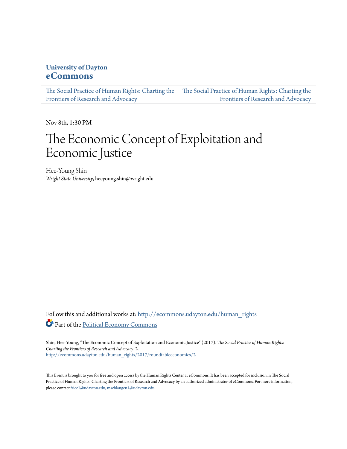### **University of Dayton [eCommons](http://ecommons.udayton.edu?utm_source=ecommons.udayton.edu%2Fhuman_rights%2F2017%2Froundtableeconomics%2F2&utm_medium=PDF&utm_campaign=PDFCoverPages)**

[The Social Practice of Human Rights: Charting the](http://ecommons.udayton.edu/human_rights?utm_source=ecommons.udayton.edu%2Fhuman_rights%2F2017%2Froundtableeconomics%2F2&utm_medium=PDF&utm_campaign=PDFCoverPages) [The Social Practice of Human Rights: Charting the](http://ecommons.udayton.edu/human_rights/2017?utm_source=ecommons.udayton.edu%2Fhuman_rights%2F2017%2Froundtableeconomics%2F2&utm_medium=PDF&utm_campaign=PDFCoverPages) [Frontiers of Research and Advocacy](http://ecommons.udayton.edu/human_rights?utm_source=ecommons.udayton.edu%2Fhuman_rights%2F2017%2Froundtableeconomics%2F2&utm_medium=PDF&utm_campaign=PDFCoverPages) [Frontiers of Research and Advocacy](http://ecommons.udayton.edu/human_rights/2017?utm_source=ecommons.udayton.edu%2Fhuman_rights%2F2017%2Froundtableeconomics%2F2&utm_medium=PDF&utm_campaign=PDFCoverPages)

Nov 8th, 1:30 PM

# The Economic Concept of Exploitation and Economic Justice

Hee-Young Shin *Wright State University*, heeyoung.shin@wright.edu

Follow this and additional works at: [http://ecommons.udayton.edu/human\\_rights](http://ecommons.udayton.edu/human_rights?utm_source=ecommons.udayton.edu%2Fhuman_rights%2F2017%2Froundtableeconomics%2F2&utm_medium=PDF&utm_campaign=PDFCoverPages) Part of the [Political Economy Commons](http://network.bepress.com/hgg/discipline/352?utm_source=ecommons.udayton.edu%2Fhuman_rights%2F2017%2Froundtableeconomics%2F2&utm_medium=PDF&utm_campaign=PDFCoverPages)

Shin, Hee-Young, "The Economic Concept of Exploitation and Economic Justice" (2017). *The Social Practice of Human Rights: Charting the Frontiers of Research and Advocacy*. 2. [http://ecommons.udayton.edu/human\\_rights/2017/roundtableeconomics/2](http://ecommons.udayton.edu/human_rights/2017/roundtableeconomics/2?utm_source=ecommons.udayton.edu%2Fhuman_rights%2F2017%2Froundtableeconomics%2F2&utm_medium=PDF&utm_campaign=PDFCoverPages)

This Event is brought to you for free and open access by the Human Rights Center at eCommons. It has been accepted for inclusion in The Social Practice of Human Rights: Charting the Frontiers of Research and Advocacy by an authorized administrator of eCommons. For more information, please contact [frice1@udayton.edu, mschlangen1@udayton.edu.](mailto:frice1@udayton.edu,%20mschlangen1@udayton.edu)